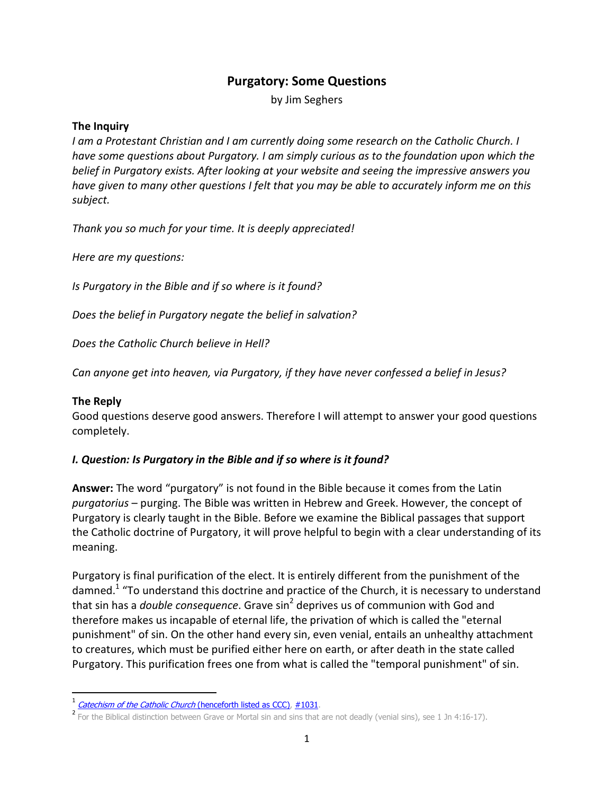# **Purgatory: Some Questions**

by Jim Seghers

#### **The Inquiry**

*I am a Protestant Christian and I am currently doing some research on the Catholic Church. I have some questions about Purgatory. I am simply curious as to the foundation upon which the belief in Purgatory exists. After looking at your website and seeing the impressive answers you have given to many other questions I felt that you may be able to accurately inform me on this subject.* 

*Thank you so much for your time. It is deeply appreciated!* 

*Here are my questions:* 

*Is Purgatory in the Bible and if so where is it found?* 

*Does the belief in Purgatory negate the belief in salvation?* 

*Does the Catholic Church believe in Hell?* 

*Can anyone get into heaven, via Purgatory, if they have never confessed a belief in Jesus?* 

#### **The Reply**

<u>.</u>

Good questions deserve good answers. Therefore I will attempt to answer your good questions completely.

#### *I. Question: Is Purgatory in the Bible and if so where is it found?*

**Answer:** The word "purgatory" is not found in the Bible because it comes from the Latin *purgatorius* – purging. The Bible was written in Hebrew and Greek. However, the concept of Purgatory is clearly taught in the Bible. Before we examine the Biblical passages that support the Catholic doctrine of Purgatory, it will prove helpful to begin with a clear understanding of its meaning.

Purgatory is final purification of the elect. It is entirely different from the punishment of the damned.<sup>1</sup> "To understand this doctrine and practice of the Church, it is necessary to understand that sin has a *double consequence*. Grave sin<sup>2</sup> deprives us of communion with God and therefore makes us incapable of eternal life, the privation of which is called the "eternal punishment" of sin. On the other hand every sin, even venial, entails an unhealthy attachment to creatures, which must be purified either here on earth, or after death in the state called Purgatory. This purification frees one from what is called the "temporal punishment" of sin.

<sup>&</sup>lt;sup>1</sup> Catechism of the Catholic Church (henceforth listed as CCC), #1031.

<sup>&</sup>lt;sup>2</sup> For the Biblical distinction between Grave or Mortal sin and sins that are not deadly (venial sins), see 1 Jn 4:16-17).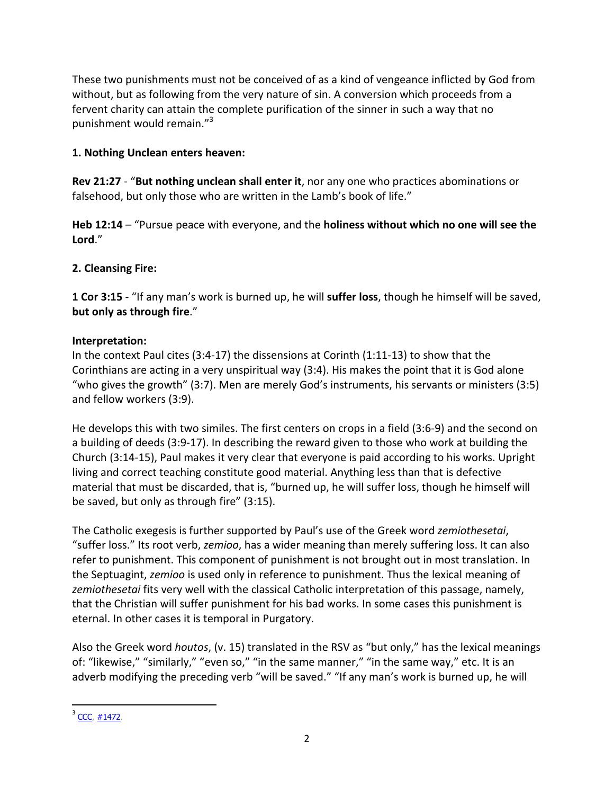These two punishments must not be conceived of as a kind of vengeance inflicted by God from without, but as following from the very nature of sin. A conversion which proceeds from a fervent charity can attain the complete purification of the sinner in such a way that no punishment would remain."<sup>3</sup>

## **1. Nothing Unclean enters heaven:**

**Rev 21:27** - "**But nothing unclean shall enter it**, nor any one who practices abominations or falsehood, but only those who are written in the Lamb's book of life."

**Heb 12:14** – "Pursue peace with everyone, and the **holiness without which no one will see the Lord**."

## **2. Cleansing Fire:**

**1 Cor 3:15** - "If any man's work is burned up, he will **suffer loss**, though he himself will be saved, **but only as through fire**."

## **Interpretation:**

In the context Paul cites (3:4-17) the dissensions at Corinth (1:11-13) to show that the Corinthians are acting in a very unspiritual way (3:4). His makes the point that it is God alone "who gives the growth" (3:7). Men are merely God's instruments, his servants or ministers (3:5) and fellow workers (3:9).

He develops this with two similes. The first centers on crops in a field (3:6-9) and the second on a building of deeds (3:9-17). In describing the reward given to those who work at building the Church (3:14-15), Paul makes it very clear that everyone is paid according to his works. Upright living and correct teaching constitute good material. Anything less than that is defective material that must be discarded, that is, "burned up, he will suffer loss, though he himself will be saved, but only as through fire" (3:15).

The Catholic exegesis is further supported by Paul's use of the Greek word *zemiothesetai*, "suffer loss." Its root verb, *zemioo*, has a wider meaning than merely suffering loss. It can also refer to punishment. This component of punishment is not brought out in most translation. In the Septuagint, *zemioo* is used only in reference to punishment. Thus the lexical meaning of *zemiothesetai* fits very well with the classical Catholic interpretation of this passage, namely, that the Christian will suffer punishment for his bad works. In some cases this punishment is eternal. In other cases it is temporal in Purgatory.

Also the Greek word *houtos*, (v. 15) translated in the RSV as "but only," has the lexical meanings of: "likewise," "similarly," "even so," "in the same manner," "in the same way," etc. It is an adverb modifying the preceding verb "will be saved." "If any man's work is burned up, he will

-

 $3$  CCC,  $\#1472$ .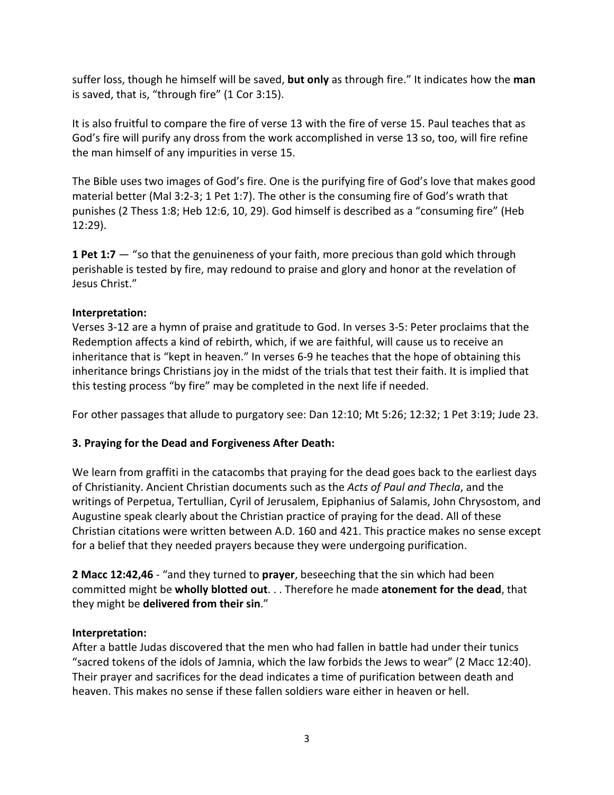suffer loss, though he himself will be saved, **but only** as through fire." It indicates how the **man** is saved, that is, "through fire" (1 Cor 3:15).

It is also fruitful to compare the fire of verse 13 with the fire of verse 15. Paul teaches that as God's fire will purify any dross from the work accomplished in verse 13 so, too, will fire refine the man himself of any impurities in verse 15.

The Bible uses two images of God's fire. One is the purifying fire of God's love that makes good material better (Mal 3:2-3; 1 Pet 1:7). The other is the consuming fire of God's wrath that punishes (2 Thess 1:8; Heb 12:6, 10, 29). God himself is described as a "consuming fire" (Heb 12:29).

**1 Pet 1:7** — "so that the genuineness of your faith, more precious than gold which through perishable is tested by fire, may redound to praise and glory and honor at the revelation of Jesus Christ."

## **Interpretation:**

Verses 3-12 are a hymn of praise and gratitude to God. In verses 3-5: Peter proclaims that the Redemption affects a kind of rebirth, which, if we are faithful, will cause us to receive an inheritance that is "kept in heaven." In verses 6-9 he teaches that the hope of obtaining this inheritance brings Christians joy in the midst of the trials that test their faith. It is implied that this testing process "by fire" may be completed in the next life if needed.

For other passages that allude to purgatory see: Dan 12:10; Mt 5:26; 12:32; 1 Pet 3:19; Jude 23.

# **3. Praying for the Dead and Forgiveness After Death:**

We learn from graffiti in the catacombs that praying for the dead goes back to the earliest days of Christianity. Ancient Christian documents such as the *Acts of Paul and Thecla*, and the writings of Perpetua, Tertullian, Cyril of Jerusalem, Epiphanius of Salamis, John Chrysostom, and Augustine speak clearly about the Christian practice of praying for the dead. All of these Christian citations were written between A.D. 160 and 421. This practice makes no sense except for a belief that they needed prayers because they were undergoing purification.

**2 Macc 12:42,46** - "and they turned to **prayer**, beseeching that the sin which had been committed might be **wholly blotted out**. . . Therefore he made **atonement for the dead**, that they might be **delivered from their sin**."

#### **Interpretation:**

After a battle Judas discovered that the men who had fallen in battle had under their tunics "sacred tokens of the idols of Jamnia, which the law forbids the Jews to wear" (2 Macc 12:40). Their prayer and sacrifices for the dead indicates a time of purification between death and heaven. This makes no sense if these fallen soldiers ware either in heaven or hell.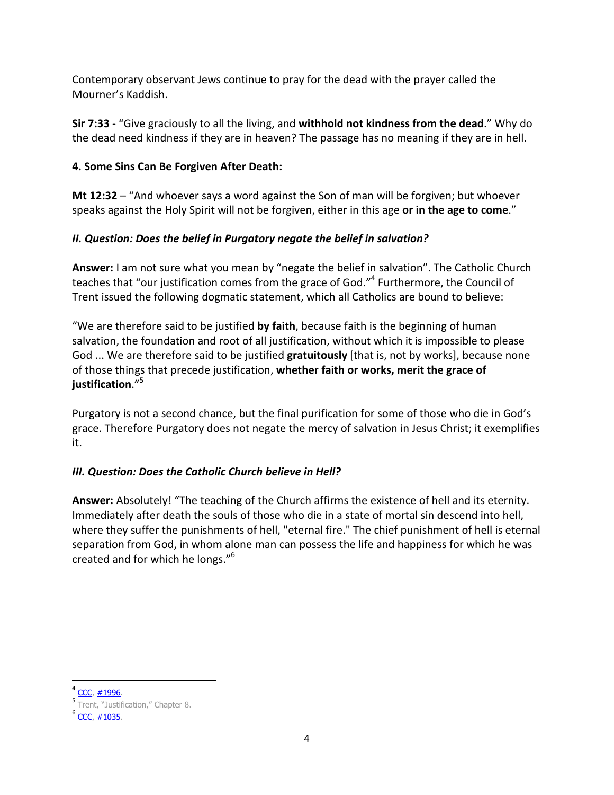Contemporary observant Jews continue to pray for the dead with the prayer called the Mourner's Kaddish.

**Sir 7:33** - "Give graciously to all the living, and **withhold not kindness from the dead**." Why do the dead need kindness if they are in heaven? The passage has no meaning if they are in hell.

## **4. Some Sins Can Be Forgiven After Death:**

**Mt 12:32** – "And whoever says a word against the Son of man will be forgiven; but whoever speaks against the Holy Spirit will not be forgiven, either in this age **or in the age to come**."

# *II. Question: Does the belief in Purgatory negate the belief in salvation?*

**Answer:** I am not sure what you mean by "negate the belief in salvation". The Catholic Church teaches that "our justification comes from the grace of God."<sup>4</sup> Furthermore, the Council of Trent issued the following dogmatic statement, which all Catholics are bound to believe:

"We are therefore said to be justified **by faith**, because faith is the beginning of human salvation, the foundation and root of all justification, without which it is impossible to please God ... We are therefore said to be justified **gratuitously** [that is, not by works], because none of those things that precede justification, **whether faith or works, merit the grace of justification**."<sup>5</sup>

Purgatory is not a second chance, but the final purification for some of those who die in God's grace. Therefore Purgatory does not negate the mercy of salvation in Jesus Christ; it exemplifies it.

# *III. Question: Does the Catholic Church believe in Hell?*

**Answer:** Absolutely! "The teaching of the Church affirms the existence of hell and its eternity. Immediately after death the souls of those who die in a state of mortal sin descend into hell, where they suffer the punishments of hell, "eternal fire." The chief punishment of hell is eternal separation from God, in whom alone man can possess the life and happiness for which he was created and for which he longs."<sup>6</sup>

-

<sup>&</sup>lt;sup>4</sup> CCC, #1996.

<sup>&</sup>lt;sup>5</sup> Trent, "Justification," Chapter 8.

<sup>&</sup>lt;sup>6</sup> CCC, #1035.